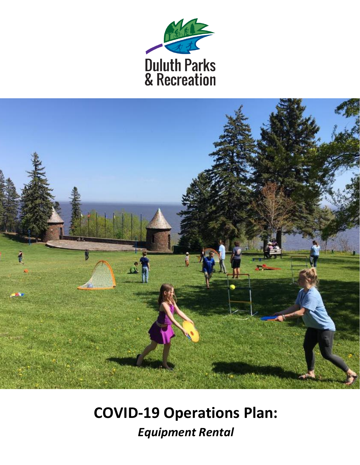



# **COVID-19 Operations Plan:** *Equipment Rental*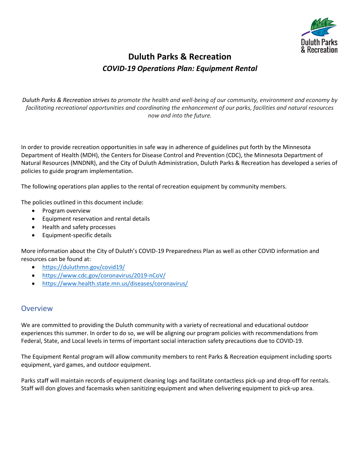

## **Duluth Parks & Recreation** *COVID-19 Operations Plan: Equipment Rental*

*Duluth Parks & Recreation strives to promote the health and well-being of our community, environment and economy by facilitating recreational opportunities and coordinating the enhancement of our parks, facilities and natural resources now and into the future.*

In order to provide recreation opportunities in safe way in adherence of guidelines put forth by the Minnesota Department of Health (MDH), the Centers for Disease Control and Prevention (CDC), the Minnesota Department of Natural Resources (MNDNR), and the City of Duluth Administration, Duluth Parks & Recreation has developed a series of policies to guide program implementation.

The following operations plan applies to the rental of recreation equipment by community members.

The policies outlined in this document include:

- Program overview
- Equipment reservation and rental details
- Health and safety processes
- Equipment-specific details

More information about the City of Duluth's COVID-19 Preparedness Plan as well as other COVID information and resources can be found at:

- https://duluthmn.gov/covid19/
- https://www.cdc.gov/coronavirus/2019-nCoV/
- https://www.health.state.mn.us/diseases/coronavirus/

### **Overview**

We are committed to providing the Duluth community with a variety of recreational and educational outdoor experiences this summer. In order to do so, we will be aligning our program policies with recommendations from Federal, State, and Local levels in terms of important social interaction safety precautions due to COVID-19.

The Equipment Rental program will allow community members to rent Parks & Recreation equipment including sports equipment, yard games, and outdoor equipment.

Parks staff will maintain records of equipment cleaning logs and facilitate contactless pick-up and drop-off for rentals. Staff will don gloves and facemasks when sanitizing equipment and when delivering equipment to pick-up area.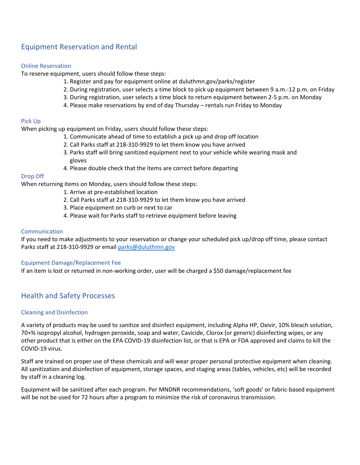## Equipment Reservation and Rental

#### Online Reservation

To reserve equipment, users should follow these steps:

- 1. Register and pay for equipment online at duluthmn.gov/parks/register
- 2. During registration, user selects a time block to pick up equipment between 9 a.m.-12 p.m. on Friday
- 3. During registration, user selects a time block to return equipment between 2-5 p.m. on Monday
- 4. Please make reservations by end of day Thursday rentals run Friday to Monday

#### Pick Up

When picking up equipment on Friday, users should follow these steps:

- 1. Communicate ahead of time to establish a pick up and drop off location
- 2. Call Parks staff at 218-310-9929 to let them know you have arrived
- 3. Parks staff will bring sanitized equipment next to your vehicle while wearing mask and gloves
- 4. Please double check that the items are correct before departing

#### Drop Off

When returning items on Monday, users should follow these steps:

- 1. Arrive at pre-established location
- 2. Call Parks staff at 218-310-9929 to let them know you have arrived
- 3. Place equipment on curb or next to car
- 4. Please wait for Parks staff to retrieve equipment before leaving

#### Communication

If you need to make adjustments to your reservation or change your scheduled pick up/drop off time, please contact Parks staff at 218-310-9929 or email parks@duluthmn.gov

#### Equipment Damage/Replacement Fee

If an item is lost or returned in non-working order, user will be charged a \$50 damage/replacement fee

## Health and Safety Processes

#### Cleaning and Disinfection

A variety of products may be used to sanitize and disinfect equipment, including Alpha HP, Oxivir, 10% bleach solution, 70+% isopropyl alcohol, hydrogen peroxide, soap and water, Cavicide, Clorox (or generic) disinfecting wipes, or any other product that is either on the EPA COVID-19 disinfection list, or that is EPA or FDA approved and claims to kill the COVID-19 virus.

Staff are trained on proper use of these chemicals and will wear proper personal protective equipment when cleaning. All sanitization and disinfection of equipment, storage spaces, and staging areas (tables, vehicles, etc) will be recorded by staff in a cleaning log.

Equipment will be sanitized after each program. Per MNDNR recommendations, 'soft goods' or fabric-based equipment will be not be used for 72 hours after a program to minimize the risk of coronavirus transmission.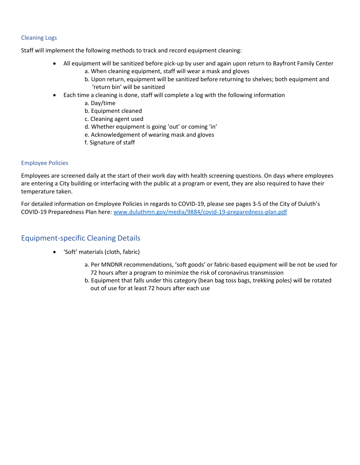#### Cleaning Logs

Staff will implement the following methods to track and record equipment cleaning:

- All equipment will be sanitized before pick-up by user and again upon return to Bayfront Family Center
	- a. When cleaning equipment, staff will wear a mask and gloves
	- b. Upon return, equipment will be sanitized before returning to shelves; both equipment and 'return bin' will be sanitized
	- Each time a cleaning is done, staff will complete a log with the following information
		- a. Day/time
		- b. Equipment cleaned
		- c. Cleaning agent used
		- d. Whether equipment is going 'out' or coming 'in'
		- e. Acknowledgement of wearing mask and gloves
		- f. Signature of staff

#### Employee Policies

Employees are screened daily at the start of their work day with health screening questions. On days where employees are entering a City building or interfacing with the public at a program or event, they are also required to have their temperature taken.

For detailed information on Employee Policies in regards to COVID-19, please see pages 3-5 of the City of Duluth's COVID-19 Preparedness Plan here: www.duluthmn.gov/media/9884/covid-19-preparedness-plan.pdf

## Equipment-specific Cleaning Details

- 'Soft' materials (cloth, fabric)
	- a. Per MNDNR recommendations, 'soft goods' or fabric-based equipment will be not be used for 72 hours after a program to minimize the risk of coronavirus transmission
	- b. Equipment that falls under this category (bean bag toss bags, trekking poles) will be rotated out of use for at least 72 hours after each use